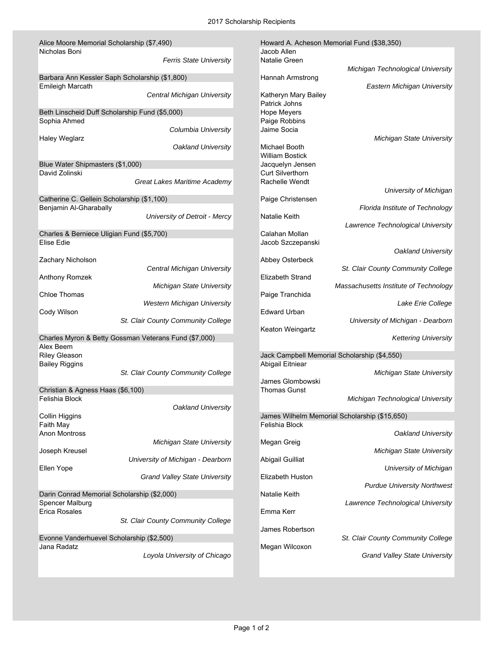| Alice Moore Memorial Scholarship (\$7,490)              |                                      | Howard A. Acheson Memorial Fund (\$38,350) |                                               |  |
|---------------------------------------------------------|--------------------------------------|--------------------------------------------|-----------------------------------------------|--|
| Nicholas Boni                                           |                                      | Jacob Allen                                |                                               |  |
|                                                         | <b>Ferris State University</b>       | Natalie Green                              |                                               |  |
| Barbara Ann Kessler Saph Scholarship (\$1,800)          |                                      | Hannah Armstrong                           | Michigan Technological University             |  |
| <b>Emileigh Marcath</b>                                 |                                      |                                            | <b>Eastern Michigan University</b>            |  |
|                                                         | Central Michigan University          | Katheryn Mary Bailey                       |                                               |  |
|                                                         |                                      | Patrick Johns                              |                                               |  |
| Beth Linscheid Duff Scholarship Fund (\$5,000)          |                                      | <b>Hope Meyers</b>                         |                                               |  |
| Sophia Ahmed                                            |                                      | Paige Robbins                              |                                               |  |
|                                                         | Columbia University                  | Jaime Socia                                |                                               |  |
| <b>Haley Weglarz</b>                                    | Oakland University                   | Michael Booth                              | <b>Michigan State University</b>              |  |
|                                                         |                                      | <b>William Bostick</b>                     |                                               |  |
| Blue Water Shipmasters (\$1,000)                        |                                      | Jacquelyn Jensen                           |                                               |  |
| David Zolinski                                          |                                      | <b>Curt Silverthorn</b>                    |                                               |  |
|                                                         | Great Lakes Maritime Academy         | Rachelle Wendt                             |                                               |  |
|                                                         |                                      |                                            | University of Michigan                        |  |
| Catherine C. Gellein Scholarship (\$1,100)              |                                      | Paige Christensen                          |                                               |  |
| Benjamin Al-Gharabally                                  |                                      |                                            | Florida Institute of Technology               |  |
|                                                         | University of Detroit - Mercy        | Natalie Keith                              |                                               |  |
|                                                         |                                      |                                            | Lawrence Technological University             |  |
| Charles & Berniece Uligian Fund (\$5,700)<br>Elise Edie |                                      | Calahan Mollan<br>Jacob Szczepanski        |                                               |  |
|                                                         |                                      |                                            | Oakland University                            |  |
| Zachary Nicholson                                       |                                      | Abbey Osterbeck                            |                                               |  |
|                                                         | Central Michigan University          |                                            | St. Clair County Community College            |  |
| Anthony Romzek                                          |                                      | <b>Elizabeth Strand</b>                    |                                               |  |
|                                                         | <b>Michigan State University</b>     |                                            | Massachusetts Institute of Technology         |  |
| <b>Chloe Thomas</b>                                     |                                      | Paige Tranchida                            |                                               |  |
|                                                         | <b>Western Michigan University</b>   |                                            | Lake Erie College                             |  |
| Cody Wilson                                             |                                      | <b>Edward Urban</b>                        |                                               |  |
|                                                         | St. Clair County Community College   | Keaton Weingartz                           | University of Michigan - Dearborn             |  |
| Charles Myron & Betty Gossman Veterans Fund (\$7,000)   |                                      |                                            | <b>Kettering University</b>                   |  |
| Alex Beem                                               |                                      |                                            |                                               |  |
| <b>Riley Gleason</b>                                    |                                      |                                            | Jack Campbell Memorial Scholarship (\$4,550)  |  |
| <b>Bailey Riggins</b>                                   |                                      | <b>Abigail Eitniear</b>                    |                                               |  |
|                                                         | St. Clair County Community College   |                                            | <b>Michigan State University</b>              |  |
|                                                         |                                      | James Glombowski                           |                                               |  |
| Christian & Agness Haas (\$6,100)<br>Felishia Block     |                                      | <b>Thomas Gunst</b>                        |                                               |  |
|                                                         | Oakland University                   |                                            | Michigan Technological University             |  |
| <b>Collin Higgins</b>                                   |                                      |                                            | James Wilhelm Memorial Scholarship (\$15,650) |  |
| Faith May                                               |                                      | Felishia Block                             |                                               |  |
| <b>Anon Montross</b>                                    |                                      |                                            | Oakland University                            |  |
|                                                         | <b>Michigan State University</b>     | Megan Greig                                |                                               |  |
| Joseph Kreusel                                          |                                      |                                            | <b>Michigan State University</b>              |  |
|                                                         | University of Michigan - Dearborn    | <b>Abigail Guilliat</b>                    |                                               |  |
| Ellen Yope                                              |                                      |                                            | University of Michigan                        |  |
|                                                         | <b>Grand Valley State University</b> | <b>Elizabeth Huston</b>                    | <b>Purdue University Northwest</b>            |  |
| Darin Conrad Memorial Scholarship (\$2,000)             |                                      | Natalie Keith                              |                                               |  |
| Spencer Malburg                                         |                                      |                                            | Lawrence Technological University             |  |
| Erica Rosales                                           |                                      | Emma Kerr                                  |                                               |  |
|                                                         | St. Clair County Community College   |                                            |                                               |  |
|                                                         |                                      | James Robertson                            |                                               |  |
| Evonne Vanderhuevel Scholarship (\$2,500)               |                                      |                                            | St. Clair County Community College            |  |
| Jana Radatz                                             |                                      | Megan Wilcoxon                             |                                               |  |
|                                                         | Loyola University of Chicago         |                                            | <b>Grand Valley State University</b>          |  |